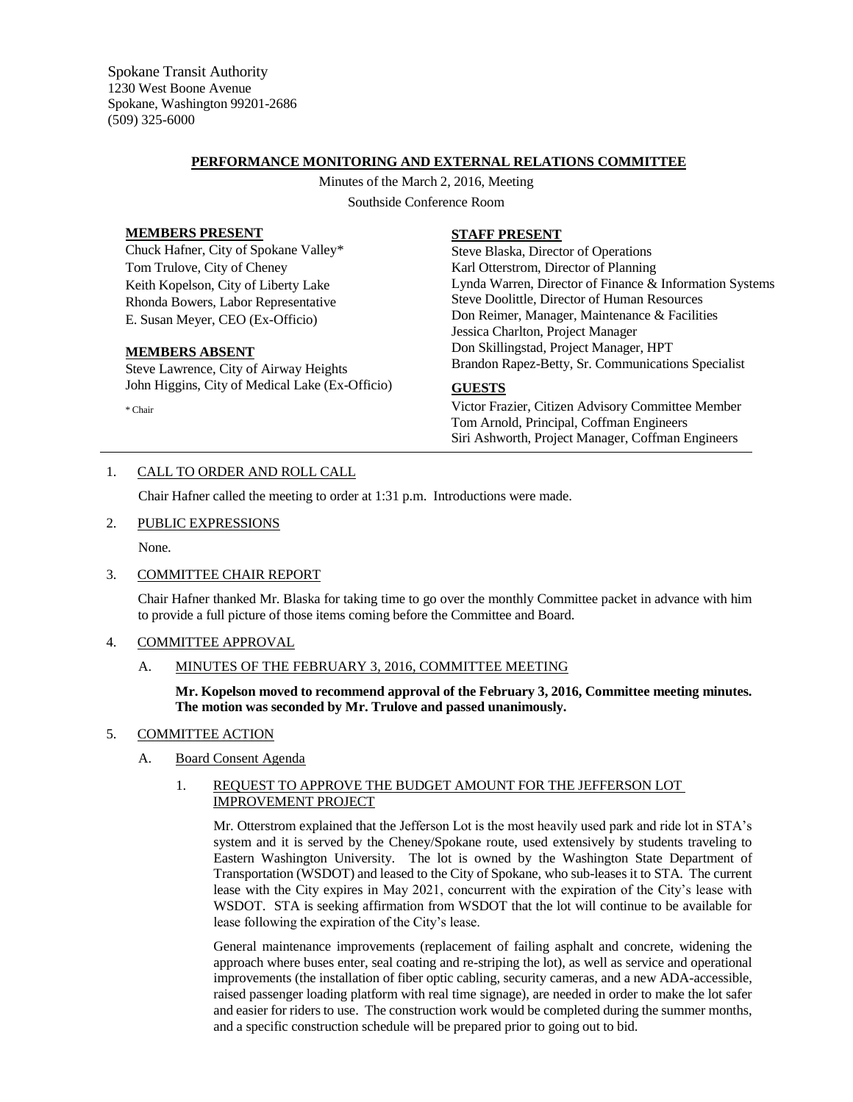Spokane Transit Authority 1230 West Boone Avenue Spokane, Washington 99201-2686 (509) 325-6000

## **PERFORMANCE MONITORING AND EXTERNAL RELATIONS COMMITTEE**

Minutes of the March 2, 2016, Meeting Southside Conference Room

#### **MEMBERS PRESENT**

Chuck Hafner, City of Spokane Valley\* Tom Trulove, City of Cheney Keith Kopelson, City of Liberty Lake Rhonda Bowers, Labor Representative E. Susan Meyer, CEO (Ex-Officio)

#### **MEMBERS ABSENT**

Steve Lawrence, City of Airway Heights John Higgins, City of Medical Lake (Ex-Officio)

\* Chair

## **STAFF PRESENT**

Steve Blaska, Director of Operations Karl Otterstrom, Director of Planning Lynda Warren, Director of Finance & Information Systems Steve Doolittle, Director of Human Resources Don Reimer, Manager, Maintenance & Facilities Jessica Charlton, Project Manager Don Skillingstad, Project Manager, HPT Brandon Rapez-Betty, Sr. Communications Specialist

# **GUESTS**

Victor Frazier, Citizen Advisory Committee Member Tom Arnold, Principal, Coffman Engineers Siri Ashworth, Project Manager, Coffman Engineers

## 1. CALL TO ORDER AND ROLL CALL

Chair Hafner called the meeting to order at 1:31 p.m. Introductions were made.

#### 2. PUBLIC EXPRESSIONS

None.

## 3. COMMITTEE CHAIR REPORT

Chair Hafner thanked Mr. Blaska for taking time to go over the monthly Committee packet in advance with him to provide a full picture of those items coming before the Committee and Board.

## 4. COMMITTEE APPROVAL

## A. MINUTES OF THE FEBRUARY 3, 2016, COMMITTEE MEETING

**Mr. Kopelson moved to recommend approval of the February 3, 2016, Committee meeting minutes. The motion was seconded by Mr. Trulove and passed unanimously.**

## 5. COMMITTEE ACTION

## A. Board Consent Agenda

## 1. REQUEST TO APPROVE THE BUDGET AMOUNT FOR THE JEFFERSON LOT IMPROVEMENT PROJECT

Mr. Otterstrom explained that the Jefferson Lot is the most heavily used park and ride lot in STA's system and it is served by the Cheney/Spokane route, used extensively by students traveling to Eastern Washington University. The lot is owned by the Washington State Department of Transportation (WSDOT) and leased to the City of Spokane, who sub-leases it to STA. The current lease with the City expires in May 2021, concurrent with the expiration of the City's lease with WSDOT. STA is seeking affirmation from WSDOT that the lot will continue to be available for lease following the expiration of the City's lease.

General maintenance improvements (replacement of failing asphalt and concrete, widening the approach where buses enter, seal coating and re-striping the lot), as well as service and operational improvements (the installation of fiber optic cabling, security cameras, and a new ADA-accessible, raised passenger loading platform with real time signage), are needed in order to make the lot safer and easier for riders to use. The construction work would be completed during the summer months, and a specific construction schedule will be prepared prior to going out to bid.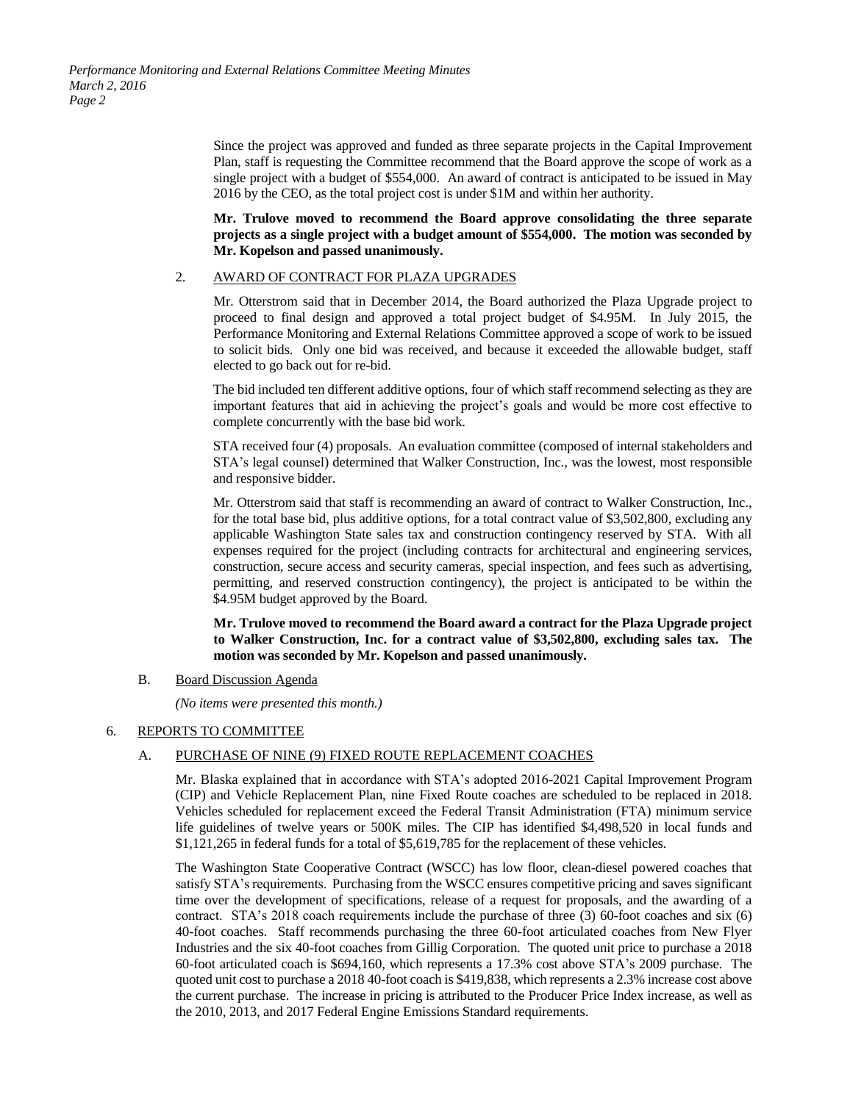*Performance Monitoring and External Relations Committee Meeting Minutes March 2, 2016 Page 2*

> Since the project was approved and funded as three separate projects in the Capital Improvement Plan, staff is requesting the Committee recommend that the Board approve the scope of work as a single project with a budget of \$554,000. An award of contract is anticipated to be issued in May 2016 by the CEO, as the total project cost is under \$1M and within her authority.

> **Mr. Trulove moved to recommend the Board approve consolidating the three separate projects as a single project with a budget amount of \$554,000. The motion was seconded by Mr. Kopelson and passed unanimously.**

#### 2. AWARD OF CONTRACT FOR PLAZA UPGRADES

Mr. Otterstrom said that in December 2014, the Board authorized the Plaza Upgrade project to proceed to final design and approved a total project budget of \$4.95M. In July 2015, the Performance Monitoring and External Relations Committee approved a scope of work to be issued to solicit bids. Only one bid was received, and because it exceeded the allowable budget, staff elected to go back out for re-bid.

The bid included ten different additive options, four of which staff recommend selecting as they are important features that aid in achieving the project's goals and would be more cost effective to complete concurrently with the base bid work.

STA received four (4) proposals. An evaluation committee (composed of internal stakeholders and STA's legal counsel) determined that Walker Construction, Inc., was the lowest, most responsible and responsive bidder.

Mr. Otterstrom said that staff is recommending an award of contract to Walker Construction, Inc., for the total base bid, plus additive options, for a total contract value of \$3,502,800, excluding any applicable Washington State sales tax and construction contingency reserved by STA. With all expenses required for the project (including contracts for architectural and engineering services, construction, secure access and security cameras, special inspection, and fees such as advertising, permitting, and reserved construction contingency), the project is anticipated to be within the \$4.95M budget approved by the Board.

**Mr. Trulove moved to recommend the Board award a contract for the Plaza Upgrade project to Walker Construction, Inc. for a contract value of \$3,502,800, excluding sales tax. The motion was seconded by Mr. Kopelson and passed unanimously.** 

#### B. Board Discussion Agenda

*(No items were presented this month.)*

#### 6. REPORTS TO COMMITTEE

## A. PURCHASE OF NINE (9) FIXED ROUTE REPLACEMENT COACHES

Mr. Blaska explained that in accordance with STA's adopted 2016-2021 Capital Improvement Program (CIP) and Vehicle Replacement Plan, nine Fixed Route coaches are scheduled to be replaced in 2018. Vehicles scheduled for replacement exceed the Federal Transit Administration (FTA) minimum service life guidelines of twelve years or 500K miles. The CIP has identified \$4,498,520 in local funds and \$1,121,265 in federal funds for a total of \$5,619,785 for the replacement of these vehicles.

The Washington State Cooperative Contract (WSCC) has low floor, clean-diesel powered coaches that satisfy STA's requirements. Purchasing from the WSCC ensures competitive pricing and saves significant time over the development of specifications, release of a request for proposals, and the awarding of a contract. STA's 2018 coach requirements include the purchase of three (3) 60-foot coaches and six (6) 40-foot coaches. Staff recommends purchasing the three 60-foot articulated coaches from New Flyer Industries and the six 40-foot coaches from Gillig Corporation. The quoted unit price to purchase a 2018 60-foot articulated coach is \$694,160, which represents a 17.3% cost above STA's 2009 purchase. The quoted unit cost to purchase a 2018 40-foot coach is \$419,838, which represents a 2.3% increase cost above the current purchase. The increase in pricing is attributed to the Producer Price Index increase, as well as the 2010, 2013, and 2017 Federal Engine Emissions Standard requirements.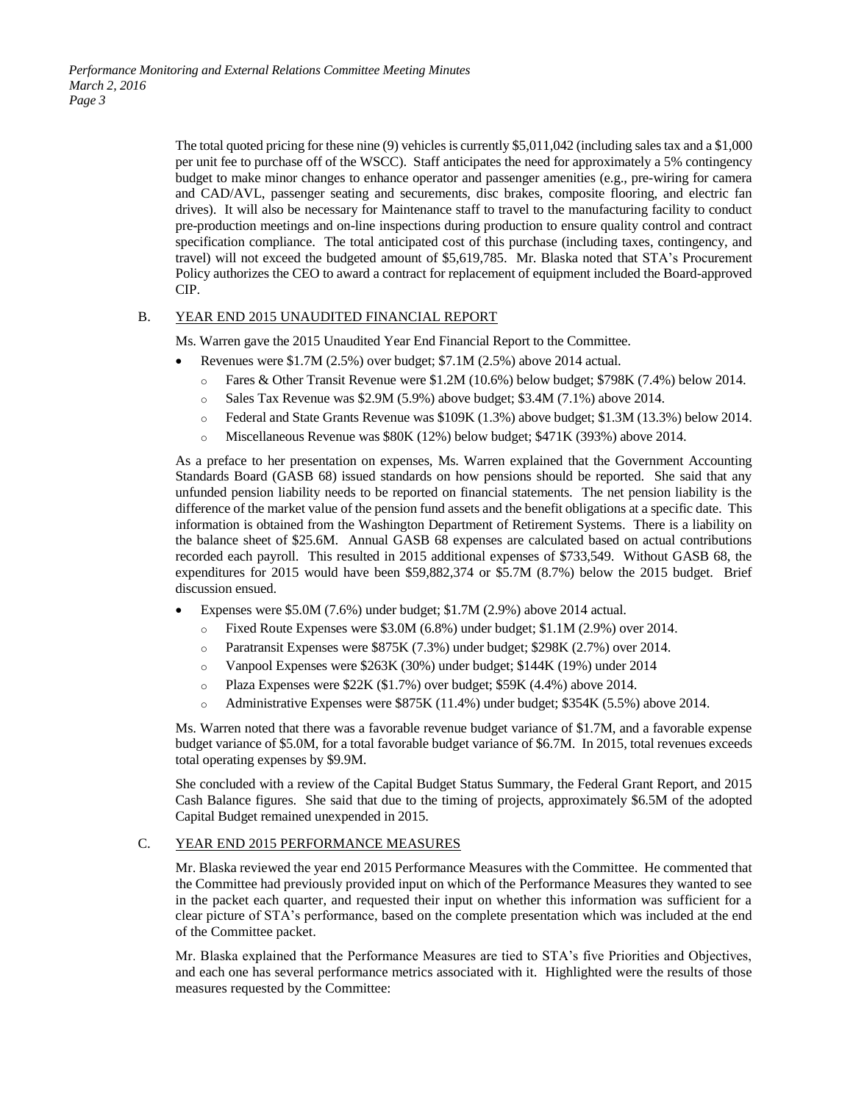The total quoted pricing for these nine (9) vehicles is currently \$5,011,042 (including sales tax and a \$1,000 per unit fee to purchase off of the WSCC). Staff anticipates the need for approximately a 5% contingency budget to make minor changes to enhance operator and passenger amenities (e.g., pre-wiring for camera and CAD/AVL, passenger seating and securements, disc brakes, composite flooring, and electric fan drives). It will also be necessary for Maintenance staff to travel to the manufacturing facility to conduct pre-production meetings and on-line inspections during production to ensure quality control and contract specification compliance. The total anticipated cost of this purchase (including taxes, contingency, and travel) will not exceed the budgeted amount of \$5,619,785. Mr. Blaska noted that STA's Procurement Policy authorizes the CEO to award a contract for replacement of equipment included the Board-approved CIP.

## B. YEAR END 2015 UNAUDITED FINANCIAL REPORT

Ms. Warren gave the 2015 Unaudited Year End Financial Report to the Committee.

- Revenues were \$1.7M (2.5%) over budget; \$7.1M (2.5%) above 2014 actual.
	- o Fares & Other Transit Revenue were \$1.2M (10.6%) below budget; \$798K (7.4%) below 2014.
	- o Sales Tax Revenue was \$2.9M (5.9%) above budget; \$3.4M (7.1%) above 2014.
	- o Federal and State Grants Revenue was \$109K (1.3%) above budget; \$1.3M (13.3%) below 2014.
	- o Miscellaneous Revenue was \$80K (12%) below budget; \$471K (393%) above 2014.

As a preface to her presentation on expenses, Ms. Warren explained that the Government Accounting Standards Board (GASB 68) issued standards on how pensions should be reported. She said that any unfunded pension liability needs to be reported on financial statements. The net pension liability is the difference of the market value of the pension fund assets and the benefit obligations at a specific date. This information is obtained from the Washington Department of Retirement Systems. There is a liability on the balance sheet of \$25.6M. Annual GASB 68 expenses are calculated based on actual contributions recorded each payroll. This resulted in 2015 additional expenses of \$733,549. Without GASB 68, the expenditures for 2015 would have been \$59,882,374 or \$5.7M (8.7%) below the 2015 budget. Brief discussion ensued.

- Expenses were \$5.0M (7.6%) under budget; \$1.7M (2.9%) above 2014 actual.
	- o Fixed Route Expenses were \$3.0M (6.8%) under budget; \$1.1M (2.9%) over 2014.
	- o Paratransit Expenses were \$875K (7.3%) under budget; \$298K (2.7%) over 2014.
	- o Vanpool Expenses were \$263K (30%) under budget; \$144K (19%) under 2014
	- o Plaza Expenses were \$22K (\$1.7%) over budget; \$59K (4.4%) above 2014.
	- o Administrative Expenses were \$875K (11.4%) under budget; \$354K (5.5%) above 2014.

Ms. Warren noted that there was a favorable revenue budget variance of \$1.7M, and a favorable expense budget variance of \$5.0M, for a total favorable budget variance of \$6.7M. In 2015, total revenues exceeds total operating expenses by \$9.9M.

She concluded with a review of the Capital Budget Status Summary, the Federal Grant Report, and 2015 Cash Balance figures. She said that due to the timing of projects, approximately \$6.5M of the adopted Capital Budget remained unexpended in 2015.

#### C. YEAR END 2015 PERFORMANCE MEASURES

Mr. Blaska reviewed the year end 2015 Performance Measures with the Committee. He commented that the Committee had previously provided input on which of the Performance Measures they wanted to see in the packet each quarter, and requested their input on whether this information was sufficient for a clear picture of STA's performance, based on the complete presentation which was included at the end of the Committee packet.

Mr. Blaska explained that the Performance Measures are tied to STA's five Priorities and Objectives, and each one has several performance metrics associated with it. Highlighted were the results of those measures requested by the Committee: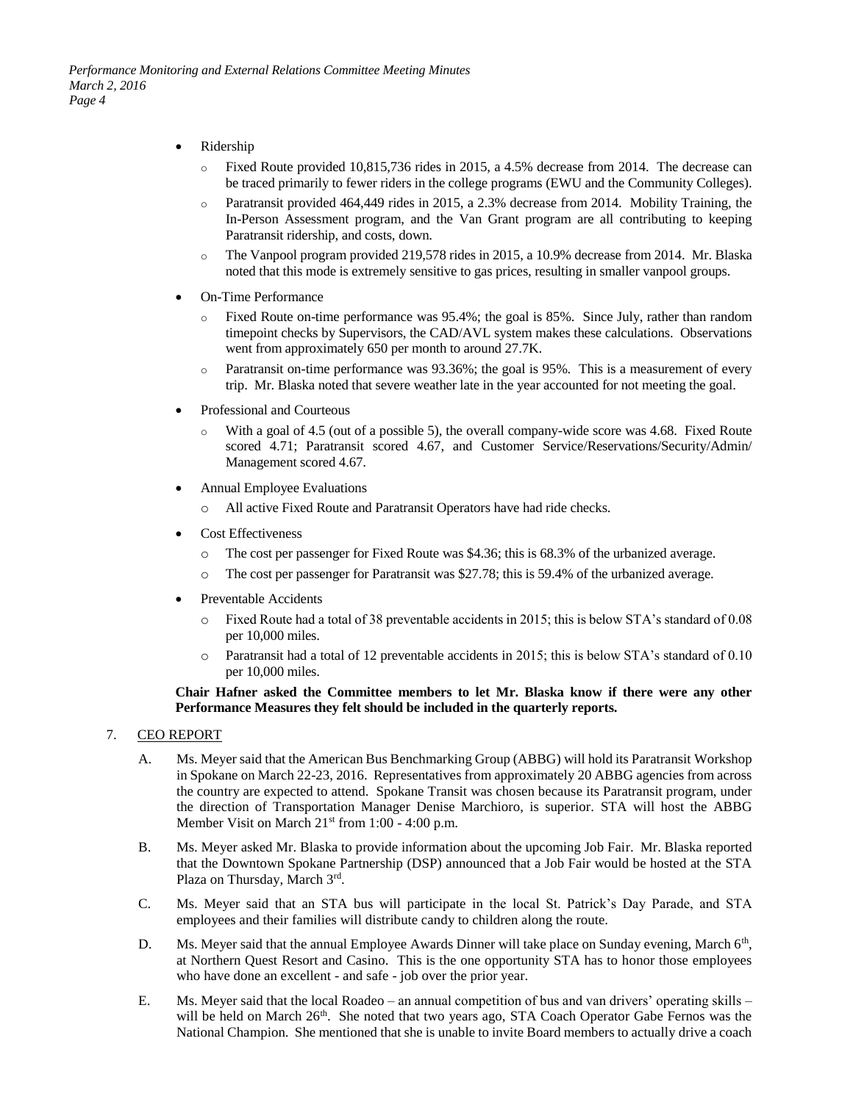- Ridership
	- o Fixed Route provided 10,815,736 rides in 2015, a 4.5% decrease from 2014. The decrease can be traced primarily to fewer riders in the college programs (EWU and the Community Colleges).
	- o Paratransit provided 464,449 rides in 2015, a 2.3% decrease from 2014. Mobility Training, the In-Person Assessment program, and the Van Grant program are all contributing to keeping Paratransit ridership, and costs, down.
	- o The Vanpool program provided 219,578 rides in 2015, a 10.9% decrease from 2014. Mr. Blaska noted that this mode is extremely sensitive to gas prices, resulting in smaller vanpool groups.
- On-Time Performance
	- o Fixed Route on-time performance was 95.4%; the goal is 85%. Since July, rather than random timepoint checks by Supervisors, the CAD/AVL system makes these calculations. Observations went from approximately 650 per month to around 27.7K.
	- $\circ$  Paratransit on-time performance was 93.36%; the goal is 95%. This is a measurement of every trip. Mr. Blaska noted that severe weather late in the year accounted for not meeting the goal.
- Professional and Courteous
	- o With a goal of 4.5 (out of a possible 5), the overall company-wide score was 4.68. Fixed Route scored 4.71; Paratransit scored 4.67, and Customer Service/Reservations/Security/Admin/ Management scored 4.67.
- Annual Employee Evaluations
	- o All active Fixed Route and Paratransit Operators have had ride checks.
- Cost Effectiveness
	- o The cost per passenger for Fixed Route was \$4.36; this is 68.3% of the urbanized average.
	- o The cost per passenger for Paratransit was \$27.78; this is 59.4% of the urbanized average.
- Preventable Accidents
	- o Fixed Route had a total of 38 preventable accidents in 2015; this is below STA's standard of 0.08 per 10,000 miles.
	- o Paratransit had a total of 12 preventable accidents in 2015; this is below STA's standard of 0.10 per 10,000 miles.

#### **Chair Hafner asked the Committee members to let Mr. Blaska know if there were any other Performance Measures they felt should be included in the quarterly reports.**

#### 7. CEO REPORT

- A. Ms. Meyer said that the American Bus Benchmarking Group (ABBG) will hold its Paratransit Workshop in Spokane on March 22-23, 2016. Representatives from approximately 20 ABBG agencies from across the country are expected to attend. Spokane Transit was chosen because its Paratransit program, under the direction of Transportation Manager Denise Marchioro, is superior. STA will host the ABBG Member Visit on March  $21^{st}$  from 1:00 - 4:00 p.m.
- B. Ms. Meyer asked Mr. Blaska to provide information about the upcoming Job Fair. Mr. Blaska reported that the Downtown Spokane Partnership (DSP) announced that a Job Fair would be hosted at the STA Plaza on Thursday, March 3rd.
- C. Ms. Meyer said that an STA bus will participate in the local St. Patrick's Day Parade, and STA employees and their families will distribute candy to children along the route.
- D. Ms. Meyer said that the annual Employee Awards Dinner will take place on Sunday evening, March 6<sup>th</sup>, at Northern Quest Resort and Casino. This is the one opportunity STA has to honor those employees who have done an excellent - and safe - job over the prior year.
- E. Ms. Meyer said that the local Roadeo an annual competition of bus and van drivers' operating skills will be held on March 26<sup>th</sup>. She noted that two years ago, STA Coach Operator Gabe Fernos was the National Champion. She mentioned that she is unable to invite Board members to actually drive a coach